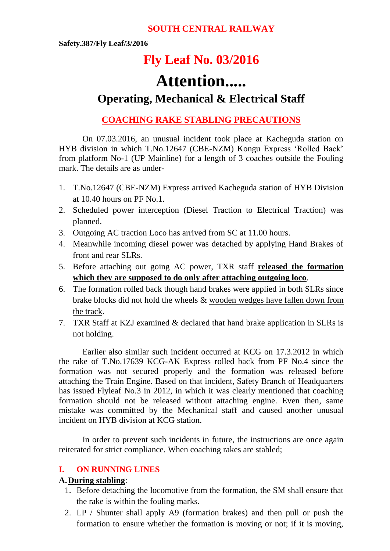# **SOUTH CENTRAL RAILWAY**

**Safety.387/Fly Leaf/3/2016**

# **Fly Leaf No. 03/2016**

# **Attention.....**

# **Operating, Mechanical & Electrical Staff**

# **COACHING RAKE STABLING PRECAUTIONS**

On 07.03.2016, an unusual incident took place at Kacheguda station on HYB division in which T.No.12647 (CBE-NZM) Kongu Express 'Rolled Back' from platform No-1 (UP Mainline) for a length of 3 coaches outside the Fouling mark. The details are as under-

- 1. T.No.12647 (CBE-NZM) Express arrived Kacheguda station of HYB Division at 10.40 hours on PF No.1.
- 2. Scheduled power interception (Diesel Traction to Electrical Traction) was planned.
- 3. Outgoing AC traction Loco has arrived from SC at 11.00 hours.
- 4. Meanwhile incoming diesel power was detached by applying Hand Brakes of front and rear SLRs.
- 5. Before attaching out going AC power, TXR staff **released the formation which they are supposed to do only after attaching outgoing loco**.
- 6. The formation rolled back though hand brakes were applied in both SLRs since brake blocks did not hold the wheels & wooden wedges have fallen down from the track.
- 7. TXR Staff at KZJ examined & declared that hand brake application in SLRs is not holding.

Earlier also similar such incident occurred at KCG on 17.3.2012 in which the rake of T.No.17639 KCG-AK Express rolled back from PF No.4 since the formation was not secured properly and the formation was released before attaching the Train Engine. Based on that incident, Safety Branch of Headquarters has issued Flyleaf No.3 in 2012, in which it was clearly mentioned that coaching formation should not be released without attaching engine. Even then, same mistake was committed by the Mechanical staff and caused another unusual incident on HYB division at KCG station.

In order to prevent such incidents in future, the instructions are once again reiterated for strict compliance. When coaching rakes are stabled;

# **I. ON RUNNING LINES**

#### **A.During stabling**:

- 1. Before detaching the locomotive from the formation, the SM shall ensure that the rake is within the fouling marks.
- 2. LP / Shunter shall apply A9 (formation brakes) and then pull or push the formation to ensure whether the formation is moving or not; if it is moving,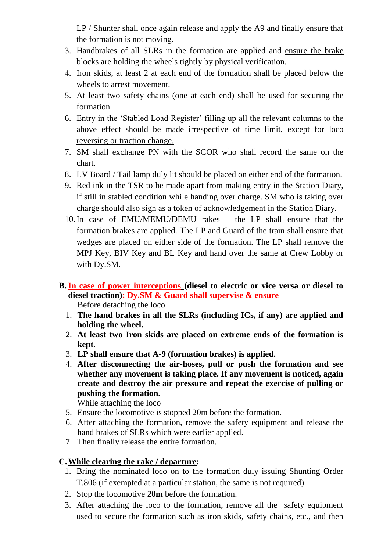LP / Shunter shall once again release and apply the A9 and finally ensure that the formation is not moving.

- 3. Handbrakes of all SLRs in the formation are applied and ensure the brake blocks are holding the wheels tightly by physical verification.
- 4. Iron skids, at least 2 at each end of the formation shall be placed below the wheels to arrest movement.
- 5. At least two safety chains (one at each end) shall be used for securing the formation.
- 6. Entry in the 'Stabled Load Register' filling up all the relevant columns to the above effect should be made irrespective of time limit, except for loco reversing or traction change.
- 7. SM shall exchange PN with the SCOR who shall record the same on the chart.
- 8. LV Board / Tail lamp duly lit should be placed on either end of the formation.
- 9. Red ink in the TSR to be made apart from making entry in the Station Diary, if still in stabled condition while handing over charge. SM who is taking over charge should also sign as a token of acknowledgement in the Station Diary.
- 10.In case of EMU/MEMU/DEMU rakes the LP shall ensure that the formation brakes are applied. The LP and Guard of the train shall ensure that wedges are placed on either side of the formation. The LP shall remove the MPJ Key, BIV Key and BL Key and hand over the same at Crew Lobby or with Dy.SM.
- **B.In case of power interceptions (diesel to electric or vice versa or diesel to diesel traction): Dy.SM & Guard shall supervise & ensure** Before detaching the loco
	- 1. **The hand brakes in all the SLRs (including ICs, if any) are applied and holding the wheel.**
	- 2. **At least two Iron skids are placed on extreme ends of the formation is kept.**
	- 3. **LP shall ensure that A-9 (formation brakes) is applied.**
	- 4. **After disconnecting the air-hoses, pull or push the formation and see whether any movement is taking place. If any movement is noticed, again create and destroy the air pressure and repeat the exercise of pulling or pushing the formation.**

While attaching the loco

- 5. Ensure the locomotive is stopped 20m before the formation.
- 6. After attaching the formation, remove the safety equipment and release the hand brakes of SLRs which were earlier applied.
- 7. Then finally release the entire formation.

# **C.While clearing the rake / departure:**

- 1. Bring the nominated loco on to the formation duly issuing Shunting Order T.806 (if exempted at a particular station, the same is not required).
- 2. Stop the locomotive **20m** before the formation.
- 3. After attaching the loco to the formation, remove all the safety equipment used to secure the formation such as iron skids, safety chains, etc., and then